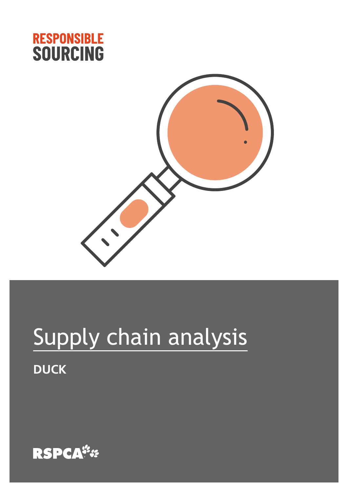



# Supply chain analysis **DUCK**